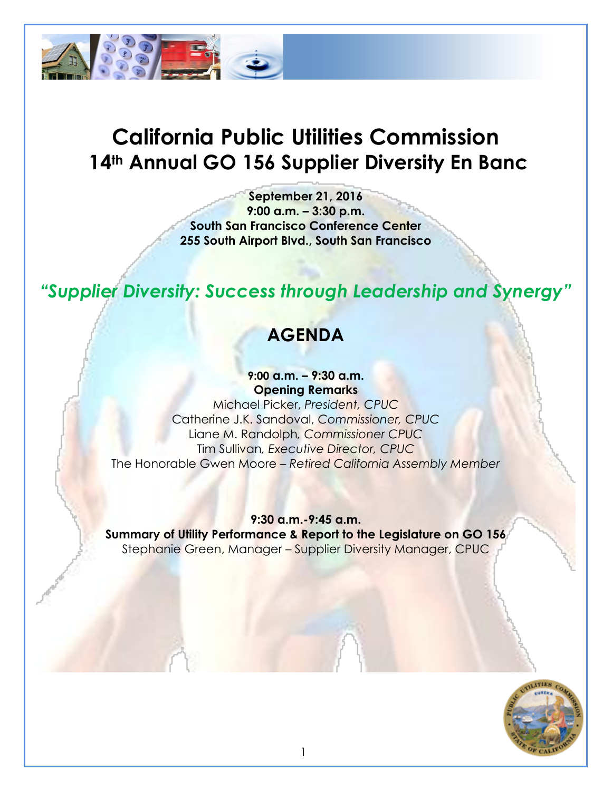

# **California Public Utilities Commission 14th Annual GO 156 Supplier Diversity En Banc**

**September 21, 2016 9:00 a.m. – 3:30 p.m. South San Francisco Conference Center 255 South Airport Blvd., South San Francisco**

## *"Supplier Diversity: Success through Leadership and Synergy"*

## **AGENDA**

**9:00 a.m. – 9:30 a.m. Opening Remarks**

Michael Picker, *President, CPUC* Catherine J.K. Sandoval, *Commissioner, CPUC* Liane M. Randolph*, Commissioner CPUC* Tim Sullivan*, Executive Director, CPUC* The Honorable Gwen Moore – *Retired California Assembly Member*

**9:30 a.m.-9:45 a.m. Summary of Utility Performance & Report to the Legislature on GO 156** Stephanie Green, Manager – Supplier Diversity Manager, CPUC

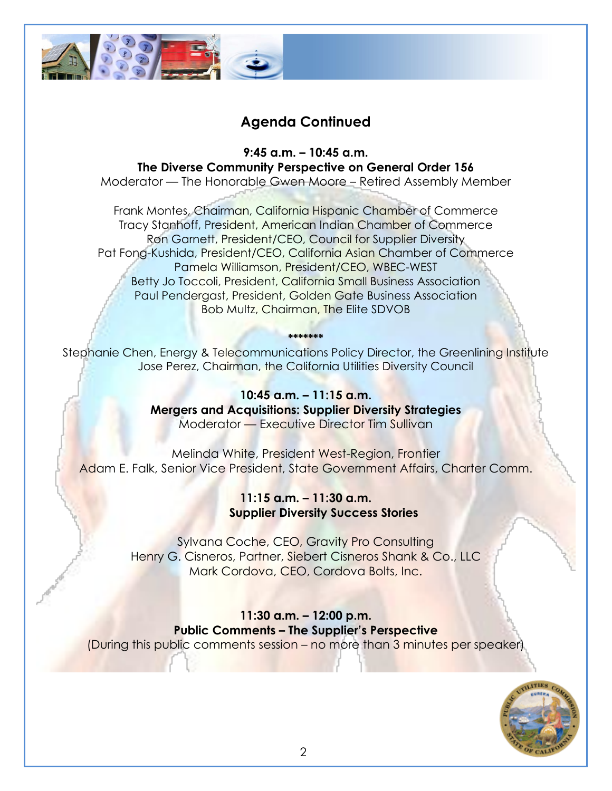

#### **Agenda Continued**

**9:45 a.m. – 10:45 a.m. The Diverse Community Perspective on General Order 156**

Moderator — The Honorable Gwen Moore – Retired Assembly Member

Frank Montes, Chairman, California Hispanic Chamber of Commerce Tracy Stanhoff, President, American Indian Chamber of Commerce Ron Garnett, President/CEO, Council for Supplier Diversity Pat Fong-Kushida, President/CEO, California Asian Chamber of Commerce Pamela Williamson, President/CEO, WBEC-WEST Betty Jo Toccoli, President, California Small Business Association Paul Pendergast, President, Golden Gate Business Association Bob Multz, Chairman, The Elite SDVOB

**\*\*\*\*\*\*\*** Stephanie Chen, Energy & Telecommunications Policy Director, the Greenlining Institute Jose Perez, Chairman, the California Utilities Diversity Council

> **10:45 a.m. – 11:15 a.m. Mergers and Acquisitions: Supplier Diversity Strategies**  Moderator — Executive Director Tim Sullivan

Melinda White, President West-Region, Frontier Adam E. Falk, Senior Vice President, State Government Affairs, Charter Comm.

> **11:15 a.m. – 11:30 a.m. Supplier Diversity Success Stories**

Sylvana Coche, CEO, Gravity Pro Consulting Henry G. Cisneros, Partner, Siebert Cisneros Shank & Co., LLC Mark Cordova, CEO, Cordova Bolts, Inc.

**11:30 a.m. – 12:00 p.m. Public Comments – The Supplier's Perspective** (During this public comments session – no more than 3 minutes per speaker)

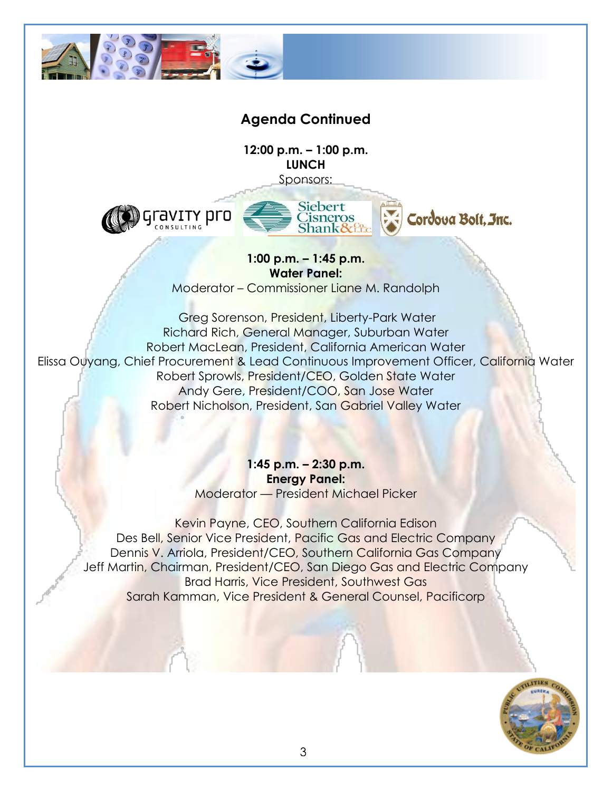

### **Agenda Continued**

**12:00 p.m. – 1:00 p.m. LUNCH** Sponsors:

ravity pro



Cordova Bolt. Inc.

**1:00 p.m. – 1:45 p.m. Water Panel:**

Moderator – Commissioner Liane M. Randolph

Greg Sorenson, President, Liberty-Park Water Richard Rich, General Manager, Suburban Water Robert MacLean, President, California American Water Elissa Ouyang, Chief Procurement & Lead Continuous Improvement Officer, California Water Robert Sprowls, President/CEO, Golden State Water Andy Gere, President/COO, San Jose Water Robert Nicholson, President, San Gabriel Valley Water

> **1:45 p.m. – 2:30 p.m. Energy Panel:** Moderator — President Michael Picker

Kevin Payne, CEO, Southern California Edison Des Bell, Senior Vice President, Pacific Gas and Electric Company Dennis V. Arriola, President/CEO, Southern California Gas Company Jeff Martin, Chairman, President/CEO, San Diego Gas and Electric Company Brad Harris, Vice President, Southwest Gas Sarah Kamman, Vice President & General Counsel, Pacificorp